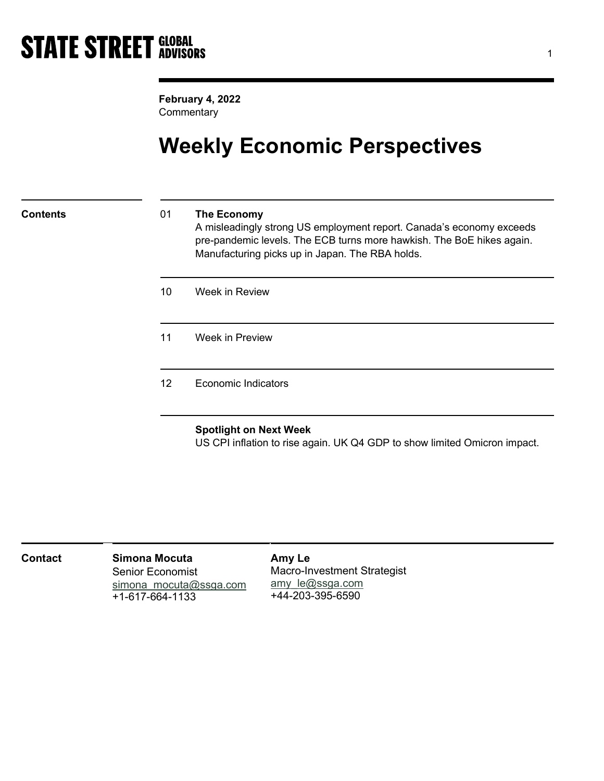February 4, 2022 **Commentary** 

## Weekly Economic Perspectives

### Contents 01 The Economy

A misleadingly strong US employment report. Canada's economy exceeds pre-pandemic levels. The ECB turns more hawkish. The BoE hikes again. Manufacturing picks up in Japan. The RBA holds.

- 10 Week in Review
- 11 Week in Preview

12 Economic Indicators

### Spotlight on Next Week

US CPI inflation to rise again. UK Q4 GDP to show limited Omicron impact.

| Contact | Simona Mocuta           | Amy Le                             |
|---------|-------------------------|------------------------------------|
|         | <b>Senior Economist</b> | <b>Macro-Investment Strategist</b> |
|         | simona mocuta@ssga.com  | amy le@ssga.com                    |
|         | $+1 - 617 - 664 - 1133$ | +44-203-395-6590                   |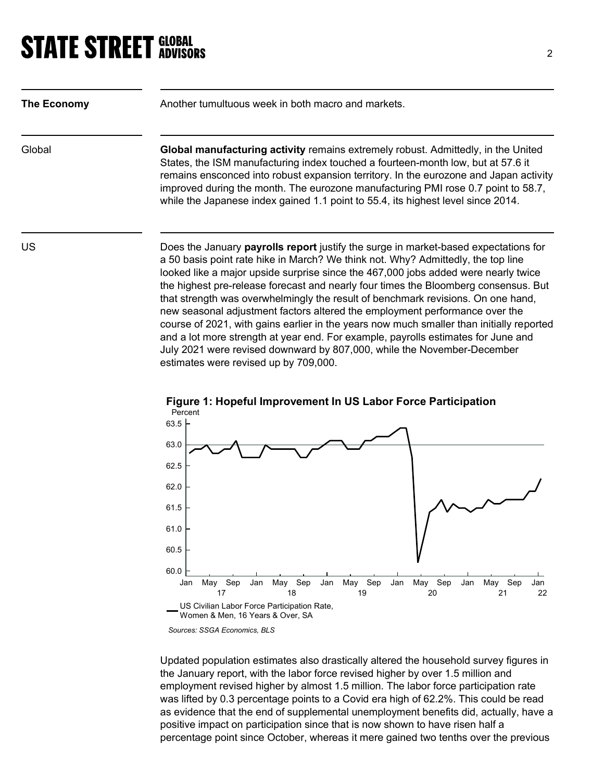| The Economy | Another tumultuous week in both macro and markets.                                                                                                                                                                                                                                                                                                                                                                                                                                                                                                                                                                                                                                                       |
|-------------|----------------------------------------------------------------------------------------------------------------------------------------------------------------------------------------------------------------------------------------------------------------------------------------------------------------------------------------------------------------------------------------------------------------------------------------------------------------------------------------------------------------------------------------------------------------------------------------------------------------------------------------------------------------------------------------------------------|
| Global      | <b>Global manufacturing activity</b> remains extremely robust. Admittedly, in the United<br>States, the ISM manufacturing index touched a fourteen-month low, but at 57.6 it<br>remains ensconced into robust expansion territory. In the eurozone and Japan activity<br>improved during the month. The eurozone manufacturing PMI rose 0.7 point to 58.7,<br>while the Japanese index gained 1.1 point to 55.4, its highest level since 2014.                                                                                                                                                                                                                                                           |
| <b>US</b>   | Does the January payrolls report justify the surge in market-based expectations for<br>a 50 basis point rate hike in March? We think not. Why? Admittedly, the top line<br>looked like a major upside surprise since the 467,000 jobs added were nearly twice<br>the highest pre-release forecast and nearly four times the Bloomberg consensus. But<br>that strength was overwhelmingly the result of benchmark revisions. On one hand,<br>new seasonal adjustment factors altered the employment performance over the<br>course of 2021, with gains earlier in the years now much smaller than initially reported<br>and a lot more strength at year end. For example, payrolls estimates for June and |

estimates were revised up by 709,000.



Figure 1: Hopeful Improvement In US Labor Force Participation

Updated population estimates also drastically altered the household survey figures in the January report, with the labor force revised higher by over 1.5 million and employment revised higher by almost 1.5 million. The labor force participation rate was lifted by 0.3 percentage points to a Covid era high of 62.2%. This could be read as evidence that the end of supplemental unemployment benefits did, actually, have a positive impact on participation since that is now shown to have risen half a percentage point since October, whereas it mere gained two tenths over the previous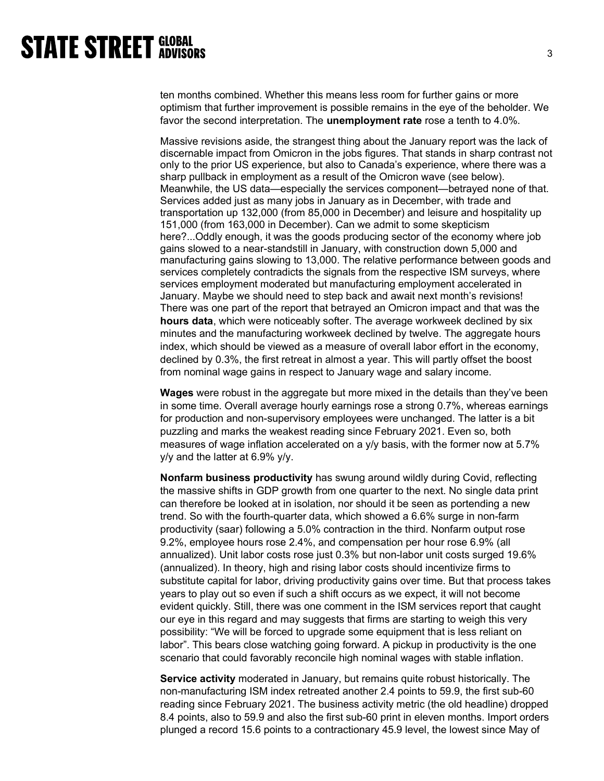ten months combined. Whether this means less room for further gains or more optimism that further improvement is possible remains in the eye of the beholder. We favor the second interpretation. The unemployment rate rose a tenth to 4.0%.

Massive revisions aside, the strangest thing about the January report was the lack of discernable impact from Omicron in the jobs figures. That stands in sharp contrast not only to the prior US experience, but also to Canada's experience, where there was a sharp pullback in employment as a result of the Omicron wave (see below). Meanwhile, the US data—especially the services component—betrayed none of that. Services added just as many jobs in January as in December, with trade and transportation up 132,000 (from 85,000 in December) and leisure and hospitality up 151,000 (from 163,000 in December). Can we admit to some skepticism here?...Oddly enough, it was the goods producing sector of the economy where job gains slowed to a near-standstill in January, with construction down 5,000 and manufacturing gains slowing to 13,000. The relative performance between goods and services completely contradicts the signals from the respective ISM surveys, where services employment moderated but manufacturing employment accelerated in January. Maybe we should need to step back and await next month's revisions! There was one part of the report that betrayed an Omicron impact and that was the hours data, which were noticeably softer. The average workweek declined by six minutes and the manufacturing workweek declined by twelve. The aggregate hours index, which should be viewed as a measure of overall labor effort in the economy, declined by 0.3%, the first retreat in almost a year. This will partly offset the boost from nominal wage gains in respect to January wage and salary income.

Wages were robust in the aggregate but more mixed in the details than they've been in some time. Overall average hourly earnings rose a strong 0.7%, whereas earnings for production and non-supervisory employees were unchanged. The latter is a bit puzzling and marks the weakest reading since February 2021. Even so, both measures of wage inflation accelerated on a y/y basis, with the former now at 5.7% y/y and the latter at 6.9% y/y.

Nonfarm business productivity has swung around wildly during Covid, reflecting the massive shifts in GDP growth from one quarter to the next. No single data print can therefore be looked at in isolation, nor should it be seen as portending a new trend. So with the fourth-quarter data, which showed a 6.6% surge in non-farm productivity (saar) following a 5.0% contraction in the third. Nonfarm output rose 9.2%, employee hours rose 2.4%, and compensation per hour rose 6.9% (all annualized). Unit labor costs rose just 0.3% but non-labor unit costs surged 19.6% (annualized). In theory, high and rising labor costs should incentivize firms to substitute capital for labor, driving productivity gains over time. But that process takes years to play out so even if such a shift occurs as we expect, it will not become evident quickly. Still, there was one comment in the ISM services report that caught our eye in this regard and may suggests that firms are starting to weigh this very possibility: "We will be forced to upgrade some equipment that is less reliant on labor". This bears close watching going forward. A pickup in productivity is the one scenario that could favorably reconcile high nominal wages with stable inflation.

Service activity moderated in January, but remains quite robust historically. The non-manufacturing ISM index retreated another 2.4 points to 59.9, the first sub-60 reading since February 2021. The business activity metric (the old headline) dropped 8.4 points, also to 59.9 and also the first sub-60 print in eleven months. Import orders plunged a record 15.6 points to a contractionary 45.9 level, the lowest since May of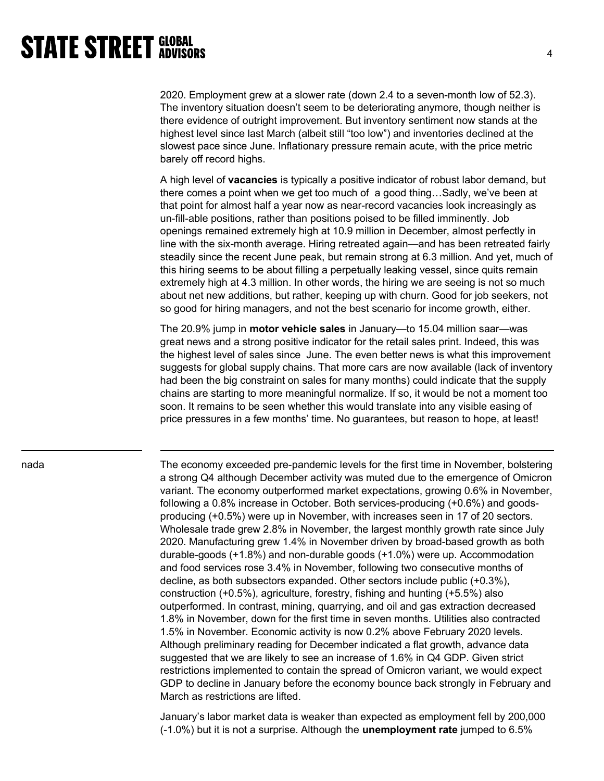2020. Employment grew at a slower rate (down 2.4 to a seven-month low of 52.3). The inventory situation doesn't seem to be deteriorating anymore, though neither is there evidence of outright improvement. But inventory sentiment now stands at the highest level since last March (albeit still "too low") and inventories declined at the slowest pace since June. Inflationary pressure remain acute, with the price metric barely off record highs.

A high level of vacancies is typically a positive indicator of robust labor demand, but there comes a point when we get too much of a good thing…Sadly, we've been at that point for almost half a year now as near-record vacancies look increasingly as un-fill-able positions, rather than positions poised to be filled imminently. Job openings remained extremely high at 10.9 million in December, almost perfectly in line with the six-month average. Hiring retreated again—and has been retreated fairly steadily since the recent June peak, but remain strong at 6.3 million. And yet, much of this hiring seems to be about filling a perpetually leaking vessel, since quits remain extremely high at 4.3 million. In other words, the hiring we are seeing is not so much about net new additions, but rather, keeping up with churn. Good for job seekers, not so good for hiring managers, and not the best scenario for income growth, either.

The 20.9% jump in motor vehicle sales in January—to 15.04 million saar—was great news and a strong positive indicator for the retail sales print. Indeed, this was the highest level of sales since June. The even better news is what this improvement suggests for global supply chains. That more cars are now available (lack of inventory had been the big constraint on sales for many months) could indicate that the supply chains are starting to more meaningful normalize. If so, it would be not a moment too soon. It remains to be seen whether this would translate into any visible easing of price pressures in a few months' time. No guarantees, but reason to hope, at least!

nada The economy exceeded pre-pandemic levels for the first time in November, bolstering a strong Q4 although December activity was muted due to the emergence of Omicron variant. The economy outperformed market expectations, growing 0.6% in November, following a 0.8% increase in October. Both services-producing (+0.6%) and goodsproducing (+0.5%) were up in November, with increases seen in 17 of 20 sectors. Wholesale trade grew 2.8% in November, the largest monthly growth rate since July 2020. Manufacturing grew 1.4% in November driven by broad-based growth as both durable-goods (+1.8%) and non-durable goods (+1.0%) were up. Accommodation and food services rose 3.4% in November, following two consecutive months of decline, as both subsectors expanded. Other sectors include public (+0.3%), construction (+0.5%), agriculture, forestry, fishing and hunting (+5.5%) also outperformed. In contrast, mining, quarrying, and oil and gas extraction decreased 1.8% in November, down for the first time in seven months. Utilities also contracted 1.5% in November. Economic activity is now 0.2% above February 2020 levels. Although preliminary reading for December indicated a flat growth, advance data suggested that we are likely to see an increase of 1.6% in Q4 GDP. Given strict restrictions implemented to contain the spread of Omicron variant, we would expect GDP to decline in January before the economy bounce back strongly in February and March as restrictions are lifted.

> January's labor market data is weaker than expected as employment fell by 200,000 (-1.0%) but it is not a surprise. Although the unemployment rate jumped to 6.5%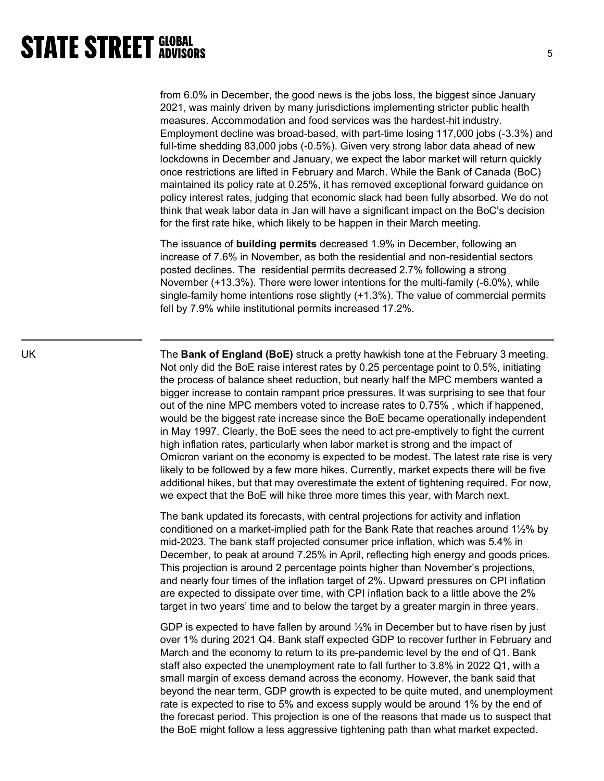from 6.0% in December, the good news is the jobs loss, the biggest since January 2021, was mainly driven by many jurisdictions implementing stricter public health measures. Accommodation and food services was the hardest-hit industry. Employment decline was broad-based, with part-time losing 117,000 jobs (-3.3%) and full-time shedding 83,000 jobs (-0.5%). Given very strong labor data ahead of new lockdowns in December and January, we expect the labor market will return quickly once restrictions are lifted in February and March. While the Bank of Canada (BoC) maintained its policy rate at 0.25%, it has removed exceptional forward guidance on policy interest rates, judging that economic slack had been fully absorbed. We do not think that weak labor data in Jan will have a significant impact on the BoC's decision for the first rate hike, which likely to be happen in their March meeting.

The issuance of building permits decreased 1.9% in December, following an increase of 7.6% in November, as both the residential and non-residential sectors posted declines. The residential permits decreased 2.7% following a strong November (+13.3%). There were lower intentions for the multi-family (-6.0%), while single-family home intentions rose slightly (+1.3%). The value of commercial permits fell by 7.9% while institutional permits increased 17.2%.

UK The Bank of England (BoE) struck a pretty hawkish tone at the February 3 meeting. Not only did the BoE raise interest rates by 0.25 percentage point to 0.5%, initiating the process of balance sheet reduction, but nearly half the MPC members wanted a bigger increase to contain rampant price pressures. It was surprising to see that four out of the nine MPC members voted to increase rates to 0.75% , which if happened, would be the biggest rate increase since the BoE became operationally independent in May 1997. Clearly, the BoE sees the need to act pre-emptively to fight the current high inflation rates, particularly when labor market is strong and the impact of Omicron variant on the economy is expected to be modest. The latest rate rise is very likely to be followed by a few more hikes. Currently, market expects there will be five additional hikes, but that may overestimate the extent of tightening required. For now, we expect that the BoE will hike three more times this year, with March next.

> The bank updated its forecasts, with central projections for activity and inflation conditioned on a market-implied path for the Bank Rate that reaches around 1½% by mid-2023. The bank staff projected consumer price inflation, which was 5.4% in December, to peak at around 7.25% in April, reflecting high energy and goods prices. This projection is around 2 percentage points higher than November's projections, and nearly four times of the inflation target of 2%. Upward pressures on CPI inflation are expected to dissipate over time, with CPI inflation back to a little above the 2% target in two years' time and to below the target by a greater margin in three years.

GDP is expected to have fallen by around ½% in December but to have risen by just over 1% during 2021 Q4. Bank staff expected GDP to recover further in February and March and the economy to return to its pre-pandemic level by the end of Q1. Bank staff also expected the unemployment rate to fall further to 3.8% in 2022 Q1, with a small margin of excess demand across the economy. However, the bank said that beyond the near term, GDP growth is expected to be quite muted, and unemployment rate is expected to rise to 5% and excess supply would be around 1% by the end of the forecast period. This projection is one of the reasons that made us to suspect that the BoE might follow a less aggressive tightening path than what market expected.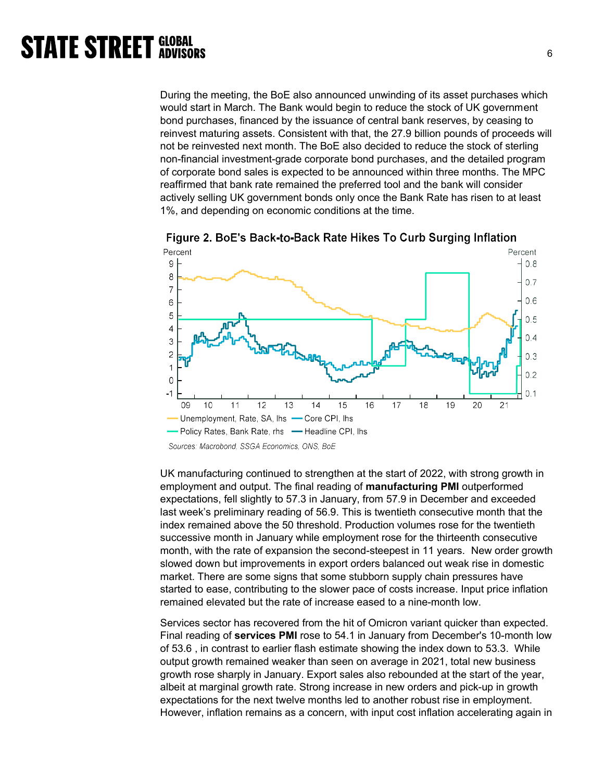During the meeting, the BoE also announced unwinding of its asset purchases which would start in March. The Bank would begin to reduce the stock of UK government bond purchases, financed by the issuance of central bank reserves, by ceasing to reinvest maturing assets. Consistent with that, the 27.9 billion pounds of proceeds will not be reinvested next month. The BoE also decided to reduce the stock of sterling non-financial investment-grade corporate bond purchases, and the detailed program of corporate bond sales is expected to be announced within three months. The MPC reaffirmed that bank rate remained the preferred tool and the bank will consider actively selling UK government bonds only once the Bank Rate has risen to at least 1%, and depending on economic conditions at the time.



Figure 2. BoE's Back-to-Back Rate Hikes To Curb Surging Inflation

UK manufacturing continued to strengthen at the start of 2022, with strong growth in employment and output. The final reading of **manufacturing PMI** outperformed expectations, fell slightly to 57.3 in January, from 57.9 in December and exceeded last week's preliminary reading of 56.9. This is twentieth consecutive month that the index remained above the 50 threshold. Production volumes rose for the twentieth successive month in January while employment rose for the thirteenth consecutive month, with the rate of expansion the second-steepest in 11 years. New order growth slowed down but improvements in export orders balanced out weak rise in domestic market. There are some signs that some stubborn supply chain pressures have started to ease, contributing to the slower pace of costs increase. Input price inflation remained elevated but the rate of increase eased to a nine-month low.

Services sector has recovered from the hit of Omicron variant quicker than expected. Final reading of services PMI rose to 54.1 in January from December's 10-month low of 53.6 , in contrast to earlier flash estimate showing the index down to 53.3. While output growth remained weaker than seen on average in 2021, total new business growth rose sharply in January. Export sales also rebounded at the start of the year, albeit at marginal growth rate. Strong increase in new orders and pick-up in growth expectations for the next twelve months led to another robust rise in employment. However, inflation remains as a concern, with input cost inflation accelerating again in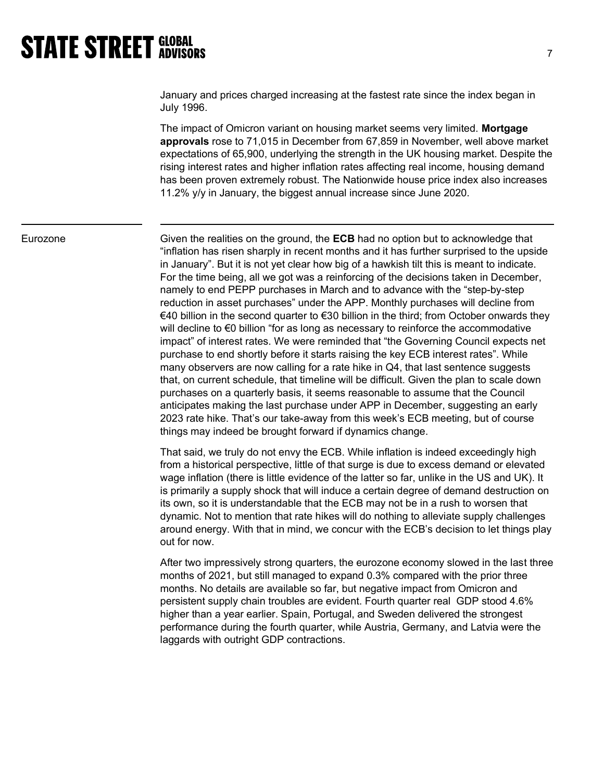January and prices charged increasing at the fastest rate since the index began in July 1996.

The impact of Omicron variant on housing market seems very limited. Mortgage approvals rose to 71,015 in December from 67,859 in November, well above market expectations of 65,900, underlying the strength in the UK housing market. Despite the rising interest rates and higher inflation rates affecting real income, housing demand has been proven extremely robust. The Nationwide house price index also increases 11.2% y/y in January, the biggest annual increase since June 2020.

Eurozone Given the realities on the ground, the **ECB** had no option but to acknowledge that "inflation has risen sharply in recent months and it has further surprised to the upside in January". But it is not yet clear how big of a hawkish tilt this is meant to indicate. For the time being, all we got was a reinforcing of the decisions taken in December, namely to end PEPP purchases in March and to advance with the "step-by-step reduction in asset purchases" under the APP. Monthly purchases will decline from €40 billion in the second quarter to €30 billion in the third; from October onwards they will decline to €0 billion "for as long as necessary to reinforce the accommodative impact" of interest rates. We were reminded that "the Governing Council expects net purchase to end shortly before it starts raising the key ECB interest rates". While many observers are now calling for a rate hike in Q4, that last sentence suggests that, on current schedule, that timeline will be difficult. Given the plan to scale down purchases on a quarterly basis, it seems reasonable to assume that the Council anticipates making the last purchase under APP in December, suggesting an early 2023 rate hike. That's our take-away from this week's ECB meeting, but of course things may indeed be brought forward if dynamics change.

> That said, we truly do not envy the ECB. While inflation is indeed exceedingly high from a historical perspective, little of that surge is due to excess demand or elevated wage inflation (there is little evidence of the latter so far, unlike in the US and UK). It is primarily a supply shock that will induce a certain degree of demand destruction on its own, so it is understandable that the ECB may not be in a rush to worsen that dynamic. Not to mention that rate hikes will do nothing to alleviate supply challenges around energy. With that in mind, we concur with the ECB's decision to let things play out for now.

> After two impressively strong quarters, the eurozone economy slowed in the last three months of 2021, but still managed to expand 0.3% compared with the prior three months. No details are available so far, but negative impact from Omicron and persistent supply chain troubles are evident. Fourth quarter real GDP stood 4.6% higher than a year earlier. Spain, Portugal, and Sweden delivered the strongest performance during the fourth quarter, while Austria, Germany, and Latvia were the laggards with outright GDP contractions.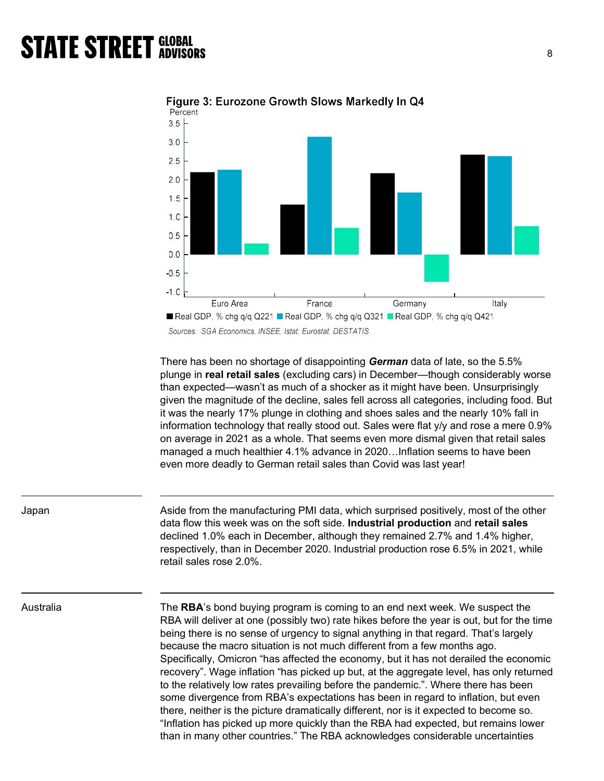

Figure 3: Eurozone Growth Slows Markedly In Q4

Sources: SGA Economics, INSEE, Istat, Eurostat, DESTATIS

There has been no shortage of disappointing German data of late, so the 5.5% plunge in real retail sales (excluding cars) in December—though considerably worse than expected—wasn't as much of a shocker as it might have been. Unsurprisingly given the magnitude of the decline, sales fell across all categories, including food. But it was the nearly 17% plunge in clothing and shoes sales and the nearly 10% fall in information technology that really stood out. Sales were flat y/y and rose a mere 0.9% on average in 2021 as a whole. That seems even more dismal given that retail sales managed a much healthier 4.1% advance in 2020…Inflation seems to have been even more deadly to German retail sales than Covid was last year!

Japan Aside from the manufacturing PMI data, which surprised positively, most of the other data flow this week was on the soft side. Industrial production and retail sales declined 1.0% each in December, although they remained 2.7% and 1.4% higher, respectively, than in December 2020. Industrial production rose 6.5% in 2021, while retail sales rose 2.0%.

Australia The **RBA**'s bond buying program is coming to an end next week. We suspect the RBA will deliver at one (possibly two) rate hikes before the year is out, but for the time being there is no sense of urgency to signal anything in that regard. That's largely because the macro situation is not much different from a few months ago. Specifically, Omicron "has affected the economy, but it has not derailed the economic recovery". Wage inflation "has picked up but, at the aggregate level, has only returned to the relatively low rates prevailing before the pandemic.". Where there has been some divergence from RBA's expectations has been in regard to inflation, but even there, neither is the picture dramatically different, nor is it expected to become so. "Inflation has picked up more quickly than the RBA had expected, but remains lower than in many other countries." The RBA acknowledges considerable uncertainties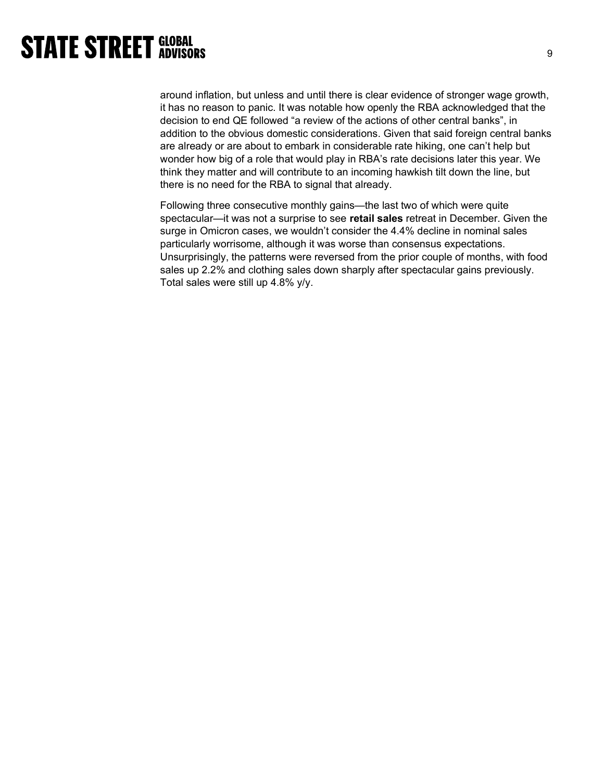around inflation, but unless and until there is clear evidence of stronger wage growth, it has no reason to panic. It was notable how openly the RBA acknowledged that the decision to end QE followed "a review of the actions of other central banks", in addition to the obvious domestic considerations. Given that said foreign central banks are already or are about to embark in considerable rate hiking, one can't help but wonder how big of a role that would play in RBA's rate decisions later this year. We think they matter and will contribute to an incoming hawkish tilt down the line, but there is no need for the RBA to signal that already.

Following three consecutive monthly gains—the last two of which were quite spectacular—it was not a surprise to see retail sales retreat in December. Given the surge in Omicron cases, we wouldn't consider the 4.4% decline in nominal sales particularly worrisome, although it was worse than consensus expectations. Unsurprisingly, the patterns were reversed from the prior couple of months, with food sales up 2.2% and clothing sales down sharply after spectacular gains previously. Total sales were still up 4.8% y/y.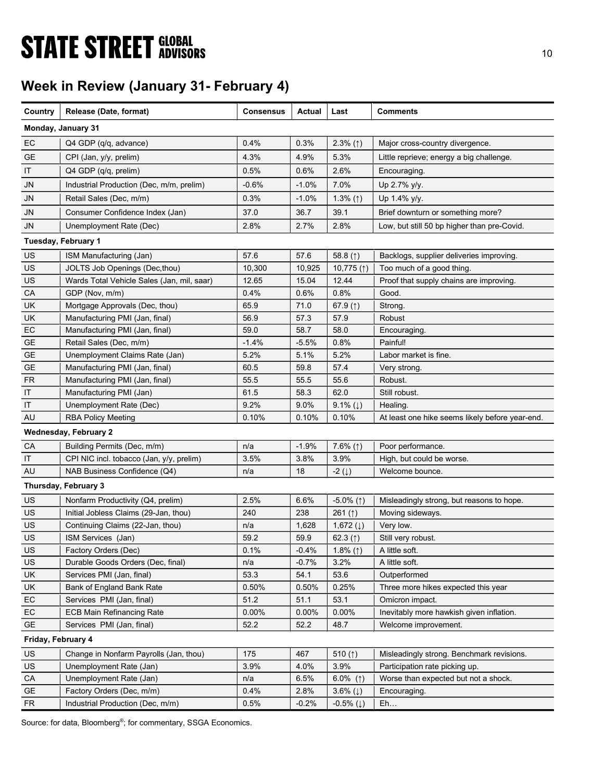# **STATE STREET GLOBAL STATE STREET GLOBAL**

## Week in Review (January 31- February 4)

| Country            | Release (Date, format)                     | Consensus | Actual  | Last                      | Comments                                        |
|--------------------|--------------------------------------------|-----------|---------|---------------------------|-------------------------------------------------|
|                    | Monday, January 31                         |           |         |                           |                                                 |
| EC                 | Q4 GDP (q/q, advance)                      | 0.4%      | 0.3%    | $2.3\%$ (1)               | Major cross-country divergence.                 |
| GE                 | CPI (Jan, y/y, prelim)                     | 4.3%      | 4.9%    | 5.3%                      | Little reprieve; energy a big challenge.        |
| IT                 | Q4 GDP (q/q, prelim)                       | 0.5%      | 0.6%    | 2.6%                      | Encouraging.                                    |
| JN                 | Industrial Production (Dec, m/m, prelim)   | $-0.6%$   | $-1.0%$ | 7.0%                      | Up 2.7% y/y.                                    |
| JN                 | Retail Sales (Dec, m/m)                    | 0.3%      | $-1.0%$ | 1.3% $($ $\uparrow$ )     | Up 1.4% y/y.                                    |
| <b>JN</b>          | Consumer Confidence Index (Jan)            | 37.0      | 36.7    | 39.1                      | Brief downturn or something more?               |
| <b>JN</b>          | Unemployment Rate (Dec)                    | 2.8%      | 2.7%    | 2.8%                      | Low, but still 50 bp higher than pre-Covid.     |
|                    |                                            |           |         |                           |                                                 |
|                    | Tuesday, February 1                        |           |         |                           |                                                 |
| US                 | ISM Manufacturing (Jan)                    | 57.6      | 57.6    | 58.8 $($ 1)               | Backlogs, supplier deliveries improving.        |
| US                 | JOLTS Job Openings (Dec, thou)             | 10,300    | 10,925  | 10,775 $($ $\uparrow$ )   | Too much of a good thing.                       |
| US                 | Wards Total Vehicle Sales (Jan, mil, saar) | 12.65     | 15.04   | 12.44                     | Proof that supply chains are improving.         |
| CA                 | GDP (Nov, m/m)                             | 0.4%      | 0.6%    | 0.8%                      | Good.                                           |
| UK                 | Mortgage Approvals (Dec, thou)             | 65.9      | 71.0    | 67.9 $($ $)$              | Strong.                                         |
| <b>UK</b>          | Manufacturing PMI (Jan, final)             | 56.9      | 57.3    | 57.9                      | <b>Robust</b>                                   |
| EC                 | Manufacturing PMI (Jan, final)             | 59.0      | 58.7    | 58.0                      | Encouraging.                                    |
| <b>GE</b>          | Retail Sales (Dec, m/m)                    | -1.4%     | -5.5%   | 0.8%                      | Painful!                                        |
| <b>GE</b>          | Unemployment Claims Rate (Jan)             | 5.2%      | 5.1%    | 5.2%                      | Labor market is fine.                           |
| GE                 | Manufacturing PMI (Jan, final)             | 60.5      | 59.8    | 57.4                      | Very strong.                                    |
| <b>FR</b>          | Manufacturing PMI (Jan, final)             | 55.5      | 55.5    | 55.6                      | Robust.                                         |
| IT                 | Manufacturing PMI (Jan)                    | 61.5      | 58.3    | 62.0                      | Still robust.                                   |
| IT                 | Unemployment Rate (Dec)                    | 9.2%      | 9.0%    | 9.1% $(1)$                | Healing.                                        |
| AU                 | <b>RBA Policy Meeting</b>                  | 0.10%     | 0.10%   | 0.10%                     | At least one hike seems likely before year-end. |
|                    | <b>Wednesday, February 2</b>               |           |         |                           |                                                 |
| CA                 | Building Permits (Dec, m/m)                | n/a       | $-1.9%$ | $7.6\%$ (1)               | Poor performance.                               |
| IT                 | CPI NIC incl. tobacco (Jan, y/y, prelim)   | 3.5%      | 3.8%    | 3.9%                      | High, but could be worse.                       |
| AU                 | NAB Business Confidence (Q4)               | n/a       | 18      | $-2(\downarrow)$          | Welcome bounce.                                 |
|                    | Thursday, February 3                       |           |         |                           |                                                 |
| US                 | Nonfarm Productivity (Q4, prelim)          | 2.5%      | 6.6%    | $-5.0\%$ (1)              | Misleadingly strong, but reasons to hope.       |
| US                 | Initial Jobless Claims (29-Jan, thou)      | 240       | 238     | 261 $($ $\uparrow$ )      | Moving sideways.                                |
| US                 | Continuing Claims (22-Jan, thou)           | n/a       | 1,628   | 1,672 $(1)$               | Very low.                                       |
| US                 | ISM Services (Jan)                         | 59.2      | 59.9    | 62.3 $(1)$                | Still very robust.                              |
| <b>US</b>          | Factory Orders (Dec)                       | 0.1%      | $-0.4%$ | 1.8% $(1)$                | A little soft.                                  |
| US                 | Durable Goods Orders (Dec, final)          | n/a       | $-0.7%$ | 3.2%                      | A little soft.                                  |
| UK                 | Services PMI (Jan, final)                  | 53.3      | 54.1    | 53.6                      | Outperformed                                    |
| UK                 | Bank of England Bank Rate                  | 0.50%     | 0.50%   | 0.25%                     | Three more hikes expected this year             |
| EC                 | Services PMI (Jan, final)                  | 51.2      | 51.1    | 53.1                      | Omicron impact.                                 |
| EC                 | <b>ECB Main Refinancing Rate</b>           | 0.00%     | 0.00%   | 0.00%                     | Inevitably more hawkish given inflation.        |
| <b>GE</b>          | Services PMI (Jan, final)                  | 52.2      | 52.2    | 48.7                      | Welcome improvement.                            |
| Friday, February 4 |                                            |           |         |                           |                                                 |
| <b>US</b>          | Change in Nonfarm Payrolls (Jan, thou)     | 175       | 467     | 510 $($ 1)                | Misleadingly strong. Benchmark revisions.       |
| US                 | Unemployment Rate (Jan)                    | 3.9%      | 4.0%    | 3.9%                      | Participation rate picking up.                  |
| CA                 | Unemployment Rate (Jan)                    | n/a       | 6.5%    | 6.0% (1)                  | Worse than expected but not a shock.            |
| <b>GE</b>          | Factory Orders (Dec, m/m)                  | 0.4%      | 2.8%    | 3.6% $(1)$                | Encouraging.                                    |
| FR.                | Industrial Production (Dec, m/m)           | 0.5%      | $-0.2%$ | $-0.5\%$ ( $\downarrow$ ) | Eh                                              |

Source: for data, Bloomberg<sup>®</sup>; for commentary, SSGA Economics.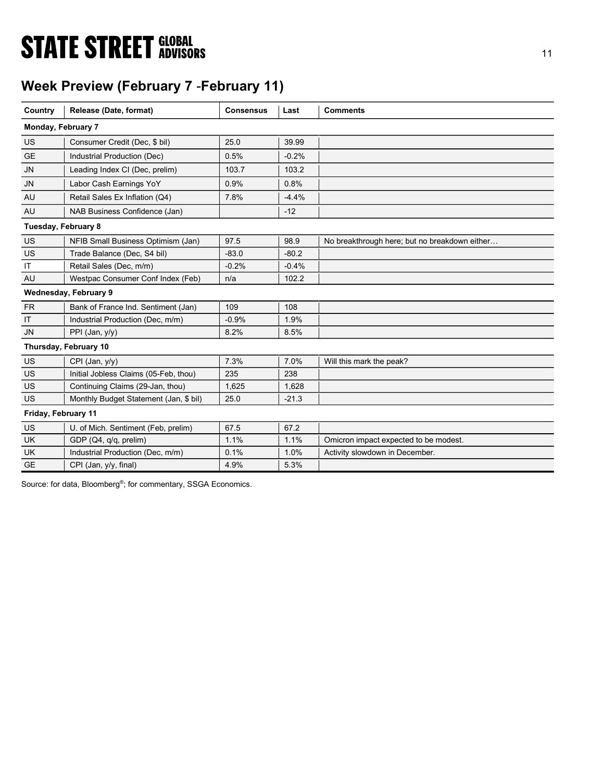# **STATE STREET GLOBAL STATE STREET GLOBAL**

## Week Preview (February 7 -February 11)

| Country             | Release (Date, format)                 | <b>Consensus</b> | Last    | <b>Comments</b>                               |
|---------------------|----------------------------------------|------------------|---------|-----------------------------------------------|
| Monday, February 7  |                                        |                  |         |                                               |
| <b>US</b>           | Consumer Credit (Dec, \$ bil)          | 25.0             | 39.99   |                                               |
| <b>GE</b>           | Industrial Production (Dec)            | 0.5%             | $-0.2%$ |                                               |
| <b>JN</b>           | Leading Index CI (Dec, prelim)         | 103.7            | 103.2   |                                               |
| <b>JN</b>           | Labor Cash Earnings YoY                | 0.9%             | 0.8%    |                                               |
| AU                  | Retail Sales Ex Inflation (Q4)         | 7.8%             | $-4.4%$ |                                               |
| AU                  | NAB Business Confidence (Jan)          |                  | $-12$   |                                               |
| Tuesday, February 8 |                                        |                  |         |                                               |
| US                  | NFIB Small Business Optimism (Jan)     | 97.5             | 98.9    | No breakthrough here; but no breakdown either |
| US                  | Trade Balance (Dec, S4 bil)            | $-83.0$          | $-80.2$ |                                               |
| IT                  | Retail Sales (Dec, m/m)                | $-0.2%$          | $-0.4%$ |                                               |
| AU                  | Westpac Consumer Conf Index (Feb)      | n/a              | 102.2   |                                               |
|                     | <b>Wednesday, February 9</b>           |                  |         |                                               |
| <b>FR</b>           | Bank of France Ind. Sentiment (Jan)    | 109              | 108     |                                               |
| IT                  | Industrial Production (Dec, m/m)       | $-0.9%$          | 1.9%    |                                               |
| <b>JN</b>           | PPI (Jan, y/y)                         | 8.2%             | 8.5%    |                                               |
|                     | Thursday, February 10                  |                  |         |                                               |
| US                  | CPI (Jan, y/y)                         | 7.3%             | 7.0%    | Will this mark the peak?                      |
| US                  | Initial Jobless Claims (05-Feb, thou)  | 235              | 238     |                                               |
| US                  | Continuing Claims (29-Jan, thou)       | 1,625            | 1,628   |                                               |
| US                  | Monthly Budget Statement (Jan, \$ bil) | 25.0             | $-21.3$ |                                               |
| Friday, February 11 |                                        |                  |         |                                               |
| US                  | U. of Mich. Sentiment (Feb, prelim)    | 67.5             | 67.2    |                                               |
| <b>UK</b>           | GDP (Q4, q/q, prelim)                  | 1.1%             | 1.1%    | Omicron impact expected to be modest.         |
| <b>UK</b>           | Industrial Production (Dec, m/m)       | 0.1%             | 1.0%    | Activity slowdown in December.                |
| <b>GE</b>           | CPI (Jan, y/y, final)                  | 4.9%             | 5.3%    |                                               |

Source: for data, Bloomberg<sup>®</sup>; for commentary, SSGA Economics.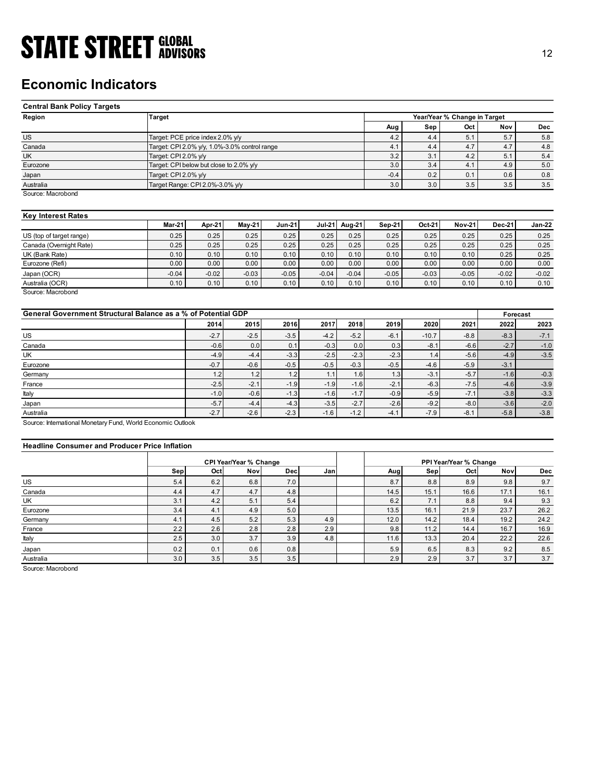### Economic Indicators

| <b>STATE STREET GLOBAL</b>                                    |                                               |                                  |               |               |               |              |              |              |                              |              |               |
|---------------------------------------------------------------|-----------------------------------------------|----------------------------------|---------------|---------------|---------------|--------------|--------------|--------------|------------------------------|--------------|---------------|
|                                                               |                                               |                                  |               |               |               |              |              |              |                              |              |               |
|                                                               |                                               |                                  |               |               |               |              |              |              |                              |              |               |
|                                                               |                                               |                                  |               |               |               |              |              |              |                              |              |               |
|                                                               |                                               |                                  |               |               |               |              |              |              |                              |              |               |
|                                                               |                                               |                                  |               |               |               |              |              |              |                              |              |               |
|                                                               |                                               |                                  |               |               |               |              |              |              |                              |              |               |
|                                                               |                                               |                                  |               |               |               |              |              |              |                              |              |               |
|                                                               |                                               |                                  |               |               |               |              |              |              |                              |              |               |
|                                                               |                                               |                                  |               |               |               |              |              |              |                              |              |               |
|                                                               |                                               |                                  |               |               |               |              |              |              |                              |              |               |
|                                                               |                                               |                                  |               |               |               |              |              |              |                              |              |               |
|                                                               |                                               |                                  |               |               |               |              |              |              |                              |              |               |
|                                                               |                                               |                                  |               |               |               |              |              |              |                              |              |               |
|                                                               |                                               |                                  |               |               |               |              |              |              |                              |              |               |
|                                                               |                                               |                                  |               |               |               |              |              |              |                              |              | 12            |
|                                                               |                                               |                                  |               |               |               |              |              |              |                              |              |               |
|                                                               |                                               |                                  |               |               |               |              |              |              |                              |              |               |
| <b>Economic Indicators</b>                                    |                                               |                                  |               |               |               |              |              |              |                              |              |               |
|                                                               |                                               |                                  |               |               |               |              |              |              |                              |              |               |
| <b>Central Bank Policy Targets</b>                            |                                               |                                  |               |               |               |              |              |              |                              |              |               |
| Region                                                        |                                               | Target                           |               |               |               |              |              |              | Year/Year % Change in Target |              |               |
|                                                               |                                               |                                  |               |               |               |              | Aug          | Sep          | Oct                          | Nov          | <b>Dec</b>    |
| <b>US</b>                                                     |                                               | Target: PCE price index 2.0% y/y |               |               |               |              | 4.2          | 4.4          | 5.1                          | 5.7          | $5.8\,$       |
| Canada                                                        | Target: CPI 2.0% y/y, 1.0%-3.0% control range |                                  |               |               |               |              | 4.1          | 4.4          | 4.7                          | 4.7          | 4.8           |
| <b>UK</b>                                                     | Target: CPI 2.0% y/y                          |                                  |               |               |               |              | 3.2          | 3.1          | 4.2                          | 5.1          | 5.4           |
| Eurozone                                                      | Target: CPI below but close to 2.0% y/y       |                                  |               |               |               |              | 3.0          | 3.4          | 4.1                          | 4.9          | 5.0           |
| Japan                                                         | Target: CPI 2.0% y/y                          |                                  |               |               |               |              | $-0.4$       | 0.2          | 0.1                          | 0.6          | 0.8           |
| Australia                                                     | Target Range: CPI 2.0%-3.0% y/y               |                                  |               |               |               |              | 3.0          | 3.0          | 3.5                          | 3.5          | 3.5           |
| Source: Macrobond                                             |                                               |                                  |               |               |               |              |              |              |                              |              |               |
|                                                               |                                               |                                  |               |               |               |              |              |              |                              |              |               |
| <b>Key Interest Rates</b>                                     |                                               |                                  |               |               |               |              |              |              |                              |              |               |
|                                                               | Mar-21                                        | Apr-21                           | <b>May-21</b> | <b>Jun-21</b> | <b>Jul-21</b> | Aug-21       | Sep-21       | Oct-21       | <b>Nov-21</b>                | Dec-21       | <b>Jan-22</b> |
| US (top of target range)                                      | 0.25                                          | 0.25                             | 0.25          | 0.25          | 0.25          | 0.25         | 0.25         | 0.25         | 0.25                         | 0.25         | 0.25          |
| Canada (Overnight Rate)                                       | 0.25                                          | 0.25                             | 0.25          | 0.25          | 0.25          | 0.25<br>0.10 | 0.25         | 0.25         | 0.25                         | 0.25<br>0.25 | 0.25<br>0.25  |
| UK (Bank Rate)<br>Eurozone (Refi)                             | 0.10<br>0.00                                  | 0.10<br>0.00                     | 0.10<br>0.00  | 0.10<br>0.00  | 0.10<br>0.00  | 0.00         | 0.10<br>0.00 | 0.10<br>0.00 | 0.10<br>0.00                 | 0.00         | 0.00          |
|                                                               | $-0.04$                                       | $-0.02$                          | $-0.03$       | $-0.05$       | $-0.04$       | $-0.04$      | $-0.05$      | $-0.03$      | $-0.05$                      | $-0.02$      | $-0.02$       |
| Japan (OCR)<br>Australia (OCR)                                | 0.10                                          | 0.10                             | 0.10          | 0.10          | 0.10          | 0.10         | 0.10         | 0.10         | 0.10                         | 0.10         | 0.10          |
| Source: Macrobond                                             |                                               |                                  |               |               |               |              |              |              |                              |              |               |
|                                                               |                                               |                                  |               |               |               |              |              |              |                              |              |               |
| General Government Structural Balance as a % of Potential GDP |                                               |                                  |               |               |               |              |              |              |                              | Forecast     |               |
|                                                               |                                               | 2014                             | 2015          | 2016          | 2017          | 2018         | 2019         | 2020         | 2021                         | 2022         | 2023          |
| $US$                                                          |                                               | $-2.7$                           | $-2.5$        | $-3.5$        | $-4.2$        | $-5.2$       | $-6.1$       | $-10.7$      | $-8.8$                       | $-8.3$       | $-7.1$        |
| Canada                                                        |                                               | $-0.6$                           | 0.0           | 0.1           | $-0.3$        | 0.0          | 0.3          | $-8.1$       | $-6.6$                       | $-2.7$       | $-1.0$        |
|                                                               |                                               | $-4.9$                           | $-4.4$        | $-3.3$        | $-2.5$        | $-2.3$       | $-2.3$       | 1.4          | $-5.6$                       | $-4.9$       | $-3.5$        |
|                                                               |                                               | $-0.7$                           | $-0.6$        | $-0.5$        | $-0.5$        | $-0.3$       | $-0.5$       | $-4.6$       | $-5.9$                       | $-3.1$       |               |
| UK                                                            |                                               | 1.2                              | 1.2           | 1.2           | 1.1           | 1.6          | 1.3          | $-3.1$       | $-5.7$                       | $-1.6$       | $-0.3$        |
| Eurozone<br>Germany                                           |                                               |                                  |               | $-1.9$        | $-1.9$        | $-1.6$       | $-2.1$       | $-6.3$       | $-7.5$                       | $-4.6$       | $-3.9$        |

### Key Interest Rates

|                          | $Mar-21$ | Apr-21  | $Mav-21$ | <b>Jun-21</b> | <b>Jul-21</b> | Aug-21  | Sep-21  | Oct-21  | <b>Nov-21</b> | <b>Dec-21</b> | <b>Jan-22</b> |
|--------------------------|----------|---------|----------|---------------|---------------|---------|---------|---------|---------------|---------------|---------------|
| US (top of target range) | 0.25     | 0.25    | 0.25     | 0.25          | 0.25          | 0.25    | 0.25    | 0.25    | 0.25          | 0.25          | 0.25          |
| Canada (Overnight Rate)  | 0.25     | 0.25    | 0.25     | 0.25          | 0.25          | 0.25    | 0.25    | 0.25    | 0.25          | 0.25          | 0.25          |
| UK (Bank Rate)           | 0.10     | 0.10    | 0.10     | 0.10          | 0.10          | 0.10    | 0.10    | 0.10    | 0.10          | 0.25          | 0.25          |
| Eurozone (Refi)          | 0.00     | 0.00    | 0.00     | 0.00          | 0.00          | 0.00    | 0.00    | 0.00    | 0.00          | 0.00          | 0.00          |
| Japan (OCR)              | $-0.04$  | $-0.02$ | $-0.03$  | $-0.05$       | $-0.04$       | $-0.04$ | $-0.05$ | $-0.03$ | $-0.05$       | $-0.02$       | $-0.02$       |
| Australia (OCR)          | 0.10     | 0.10    | 0.10     | 0.10          | 0.10          | 0.10    | 0.10    | 0.10    | 0.10          | 0.10          | 0.10          |
| Source: Macrobond        |          |         |          |               |               |         |         |         |               |               |               |

| <b>Economic Indicators</b>                                                                                           |                        |                                               |         |               |                         |                  |         |                              |                  |               |
|----------------------------------------------------------------------------------------------------------------------|------------------------|-----------------------------------------------|---------|---------------|-------------------------|------------------|---------|------------------------------|------------------|---------------|
| <b>Central Bank Policy Targets</b>                                                                                   |                        |                                               |         |               |                         |                  |         |                              |                  |               |
| Region                                                                                                               | Target                 |                                               |         |               |                         |                  |         | Year/Year % Change in Target |                  |               |
|                                                                                                                      |                        |                                               |         |               |                         | Aug              | Sep     | Oct                          | Nov              | <b>Dec</b>    |
| <b>US</b>                                                                                                            |                        | Target: PCE price index 2.0% y/y              |         |               |                         | 4.2              | 4.4     | 5.1                          | 5.7              | 5.8           |
| Canada                                                                                                               |                        | Target: CPI 2.0% y/y, 1.0%-3.0% control range |         |               |                         | 4.1              | 4.4     | 4.7                          | 4.7              | 4.8           |
| UK                                                                                                                   | Target: CPI 2.0% y/y   |                                               |         |               |                         | 3.2              | 3.1     | 4.2                          | 5.1              | 5.4           |
| Eurozone                                                                                                             |                        | Target: CPI below but close to 2.0% y/y       |         |               |                         | 3.0              | 3.4     | 4.1                          | 4.9              | 5.0           |
| Japan                                                                                                                | Target: CPI 2.0% y/y   |                                               |         |               |                         | $-0.4$           | 0.2     | 0.1                          | 0.6              | $0.8\,$       |
| Australia                                                                                                            |                        | Target Range: CPI 2.0%-3.0% y/y               |         |               |                         | 3.0              | 3.0     | 3.5                          | 3.5              | $3.5\,$       |
| Source: Macrobond                                                                                                    |                        |                                               |         |               |                         |                  |         |                              |                  |               |
| <b>Key Interest Rates</b>                                                                                            |                        |                                               |         |               |                         |                  |         |                              |                  |               |
|                                                                                                                      | Mar-21                 | Apr-21                                        | May-21  | <b>Jun-21</b> | <b>Jul-21</b><br>Aug-21 | <b>Sep-21</b>    | Oct-21  | <b>Nov-21</b>                | Dec-21           | <b>Jan-22</b> |
| US (top of target range)                                                                                             | 0.25                   | 0.25                                          | 0.25    | 0.25          | 0.25                    | 0.25<br>0.25     | 0.25    | 0.25                         | 0.25             | 0.25          |
| Canada (Overnight Rate)                                                                                              | 0.25                   | 0.25                                          | 0.25    | 0.25          | 0.25                    | 0.25<br>0.25     | 0.25    | 0.25                         | 0.25             | 0.25          |
| UK (Bank Rate)                                                                                                       | 0.10                   | 0.10                                          | 0.10    | 0.10          | 0.10                    | 0.10<br>0.10     | 0.10    | 0.10                         | 0.25             | 0.25          |
| Eurozone (Refi)                                                                                                      | 0.00                   | 0.00                                          | 0.00    | 0.00          | 0.00                    | 0.00<br>0.00     | 0.00    | 0.00                         | 0.00             | 0.00          |
| Japan (OCR)                                                                                                          | $-0.04$                | $-0.02$                                       | $-0.03$ | $-0.05$       | $-0.04$<br>$-0.04$      | $-0.05$          | $-0.03$ | $-0.05$                      | $-0.02$          | $-0.02$       |
| Australia (OCR)<br>Source: Macrobond                                                                                 | 0.10                   | 0.10                                          | 0.10    | 0.10          | 0.10                    | 0.10<br>0.10     | 0.10    | 0.10                         | 0.10             | 0.10          |
| General Government Structural Balance as a % of Potential GDP                                                        |                        | 2014                                          | 2015    | 2016          | 2017                    | 2018<br>2019     | 2020    | 2021                         | Forecast<br>2022 | 2023          |
|                                                                                                                      |                        |                                               |         |               |                         |                  |         |                              |                  |               |
| <b>US</b>                                                                                                            |                        | $-2.7$                                        | $-2.5$  | $-3.5$        | $-4.2$                  | $-5.2$<br>$-6.1$ | $-10.7$ | $-8.8$                       | $-8.3$           | $-7.1$        |
| Canada                                                                                                               |                        | $-0.6$                                        | 0.0     | 0.1           | $-0.3$                  | 0.3<br>0.0       | $-8.1$  | $-6.6$                       | $-2.7$           | $-1.0$        |
| UK                                                                                                                   |                        | $-4.9$                                        | $-4.4$  | $-3.3$        | $-2.5$                  | $-2.3$<br>$-2.3$ | 1.4     | $-5.6$                       | $-4.9$           | $-3.5$        |
| Eurozone                                                                                                             |                        | $-0.7$                                        | $-0.6$  | $-0.5$        | $-0.5$                  | $-0.5$<br>$-0.3$ | $-4.6$  | $-5.9$                       | $-3.1$           |               |
| Germany                                                                                                              |                        | 1.2                                           | 1.2     | 1.2           | 1.1                     | 1.3<br>1.6       | $-3.1$  | $-5.7$                       | $-1.6$           | $-0.3$        |
| France                                                                                                               |                        | $-2.5$                                        | $-2.1$  | $-1.9$        | $-1.9$                  | $-2.1$<br>$-1.6$ | $-6.3$  | $-7.5$                       | $-4.6$           | $-3.9$        |
| Italy                                                                                                                |                        | $-1.0$                                        | $-0.6$  | $-1.3$        | $-1.6$                  | $-1.7$<br>$-0.9$ | $-5.9$  | $-7.1$                       | $-3.8$           | $-3.3$        |
| Japan                                                                                                                |                        | $-5.7$                                        | $-4.4$  | $-4.3$        | $-3.5$                  | $-2.6$<br>$-2.7$ | $-9.2$  | $-8.0$                       | $-3.6$           | $-2.0$        |
| Australia                                                                                                            |                        | $-2.7$                                        | $-2.6$  | $-2.3$        | $-1.6$                  | $-4.1$<br>$-1.2$ | $-7.9$  | $-8.1$                       | $-5.8$           | $-3.8$        |
| Source: International Monetary Fund, World Economic Outlook<br><b>Headline Consumer and Producer Price Inflation</b> |                        |                                               |         |               |                         |                  |         |                              |                  |               |
|                                                                                                                      |                        |                                               |         |               |                         |                  |         |                              |                  |               |
|                                                                                                                      | CPI Year/Year % Change |                                               |         |               |                         |                  |         | PPI Year/Year % Change       |                  |               |
|                                                                                                                      | Sep                    | Oct                                           | Nov     | Dec           | Jan                     | Aug              | Sep     | Oct                          | Nov              | Dec           |
| <b>US</b>                                                                                                            | 5.4                    | 6.2                                           | 6.8     | 7.0           |                         | 8.7              | 8.8     | 8.9                          | 9.8              | $9.7\,$       |
| Canada                                                                                                               | 4.4                    | 4.7                                           | 4.7     | 4.8           |                         | 14.5             | 15.1    | 16.6                         | 17.1             | 16.1          |
| UK                                                                                                                   | 3.1                    | 4.2                                           | 5.1     | 5.4           |                         | 6.2              | 7.1     | 8.8                          | 9.4              | 9.3           |
| Eurozone                                                                                                             | 3.4                    | 4.1                                           | 4.9     | 5.0           |                         | 13.5             | 16.1    | 21.9                         | 23.7             | 26.2          |
| Germany                                                                                                              | 4.1                    | 4.5                                           | 5.2     | 5.3           | 4.9                     | 12.0             | 14.2    | 18.4                         | 19.2             | 24.2          |
| France                                                                                                               | 2.2                    | 2.6                                           | 2.8     | 2.8           | 2.9                     | 9.8              | 11.2    | 14.4                         | 16.7             | 16.9          |
| Italy                                                                                                                | 2.5                    | 3.0                                           | 3.7     | 3.9           | 4.8                     | 11.6             | 13.3    | 20.4                         | 22.2             | 22.6          |
| Japan                                                                                                                | 0.2                    | 0.1                                           | 0.6     | 0.8           |                         | 5.9              | 6.5     | 8.3                          | 9.2              | 8.5           |
|                                                                                                                      |                        |                                               |         |               |                         |                  |         |                              |                  |               |

### Headline Consumer and Producer Price Inflation

| UK (Bank Rate)                                                                     | 0.25       | 0.25       | 0.25                          | 0.25         | 0.25    | 0.25    | 0.25        | 0.25        | 0.25                          | 0.25        | 0.25        |
|------------------------------------------------------------------------------------|------------|------------|-------------------------------|--------------|---------|---------|-------------|-------------|-------------------------------|-------------|-------------|
|                                                                                    | 0.10       | 0.10       | 0.10                          | 0.10         | 0.10    | 0.10    | 0.10        | 0.10        | 0.10                          | 0.25        | 0.25        |
| Eurozone (Refi)                                                                    | 0.00       | 0.00       | 0.00                          | 0.00         | 0.00    | 0.00    | 0.00        | 0.00        | 0.00                          | 0.00        | 0.00        |
| Japan (OCR)                                                                        | $-0.04$    | $-0.02$    | $-0.03$                       | $-0.05$      | $-0.04$ | $-0.04$ | $-0.05$     | $-0.03$     | $-0.05$                       | $-0.02$     | $-0.02$     |
| Australia (OCR)                                                                    | 0.10       | 0.10       | 0.10                          | 0.10         | 0.10    | 0.10    | 0.10        | 0.10        | 0.10                          | 0.10        | 0.10        |
| Source: Macrobond<br>General Government Structural Balance as a % of Potential GDP |            |            |                               |              |         |         |             |             |                               | Forecast    |             |
|                                                                                    |            | 2014       | 2015                          | 2016         | 2017    | 2018    | 2019        | 2020        | 2021                          | 2022        | 2023        |
| US                                                                                 |            | $-2.7$     | $-2.5$                        | $-3.5$       | $-4.2$  | $-5.2$  | $-6.1$      | $-10.7$     | $-8.8$                        | $-8.3$      | $-7.1$      |
| Canada                                                                             |            | $-0.6$     | 0.0                           | 0.1          | $-0.3$  | 0.0     | 0.3         | $-8.1$      | $-6.6$                        | $-2.7$      | $-1.0$      |
| UK                                                                                 |            | $-4.9$     | $-4.4$                        | $-3.3$       | $-2.5$  | $-2.3$  | $-2.3$      | 1.4         | $-5.6$                        | $-4.9$      | $-3.5$      |
| Eurozone                                                                           |            | $-0.7$     | $-0.6$                        | $-0.5$       | $-0.5$  | $-0.3$  | $-0.5$      | $-4.6$      | $-5.9$                        | $-3.1$      |             |
| Germany                                                                            |            | 1.2        | 1.2                           | 1.2          | $1.1$   | 1.6     | 1.3         | $-3.1$      | $-5.7$                        | $-1.6$      | $-0.3$      |
| France                                                                             |            | $-2.5$     | $-2.1$                        | $-1.9$       | $-1.9$  | $-1.6$  | $-2.1$      | $-6.3$      | $-7.5$                        | $-4.6$      | $-3.9$      |
|                                                                                    |            | $-1.0$     | $-0.6$                        | $-1.3$       | $-1.6$  | $-1.7$  | $-0.9$      | $-5.9$      | $-7.1$                        | $-3.8$      | $-3.3$      |
| Italy                                                                              |            |            |                               |              | $-3.5$  | $-2.7$  | $-2.6$      | $-9.2$      | $-8.0$                        | $-3.6$      | $-2.0$      |
| Japan                                                                              |            | $-5.7$     | $-4.4$                        | $-4.3$       |         |         |             |             |                               |             |             |
|                                                                                    |            | $-2.7$     | $-2.6$                        | $-2.3$       | $-1.6$  | $-1.2$  | $-4.1$      | $-7.9$      | $-8.1$                        | $-5.8$      | $-3.8$      |
| Australia<br><b>Headline Consumer and Producer Price Inflation</b>                 |            |            |                               |              |         |         |             |             |                               |             |             |
|                                                                                    |            | Oct        | CPI Year/Year % Change<br>Nov |              | Jan     |         |             |             | PPI Year/Year % Change<br>Oct |             |             |
|                                                                                    | Sep        |            |                               | Dec          |         |         | Aug         | Sep         |                               | Nov         | Dec         |
|                                                                                    | 5.4        | 6.2<br>4.7 | 6.8                           | $7.0\,$      |         |         | 8.7         | 8.8         | 8.9                           | 9.8         | 9.7         |
| Source: International Monetary Fund, World Economic Outlook<br>US<br>Canada<br>UK  | 4.4<br>3.1 | 4.2        | 4.7<br>5.1                    | 4.8<br>$5.4$ |         |         | 14.5<br>6.2 | 15.1<br>7.1 | 16.6<br>8.8                   | 17.1<br>9.4 | 16.1<br>9.3 |
| Eurozone                                                                           | 3.4        | 4.1        | 4.9                           | $5.0\,$      |         |         | 13.5        | 16.1        | 21.9                          | 23.7        | 26.2        |
|                                                                                    | 4.1        | 4.5        | 5.2                           | 5.3          | 4.9     |         | 12.0        | 14.2        | 18.4                          | 19.2        | 24.2        |
| Germany<br>France                                                                  | 2.2        | 2.6        | 2.8                           | 2.8          | 2.9     |         | 9.8         | 11.2        | 14.4                          | 16.7        | 16.9        |
| Italy                                                                              | $2.5\,$    | 3.0        | 3.7                           | 3.9          | 4.8     |         | 11.6        | 13.3        | 20.4                          | 22.2        | 22.6        |
| Japan                                                                              | 0.2        | 0.1        | 0.6                           | 0.8          |         |         | 5.9         | 6.5         | 8.3                           | 9.2         | $8.5\,$     |
| Australia                                                                          | 3.0        | 3.5        | 3.5                           | 3.5          |         |         | 2.9         | 2.9         | 3.7                           | 3.7         | 3.7         |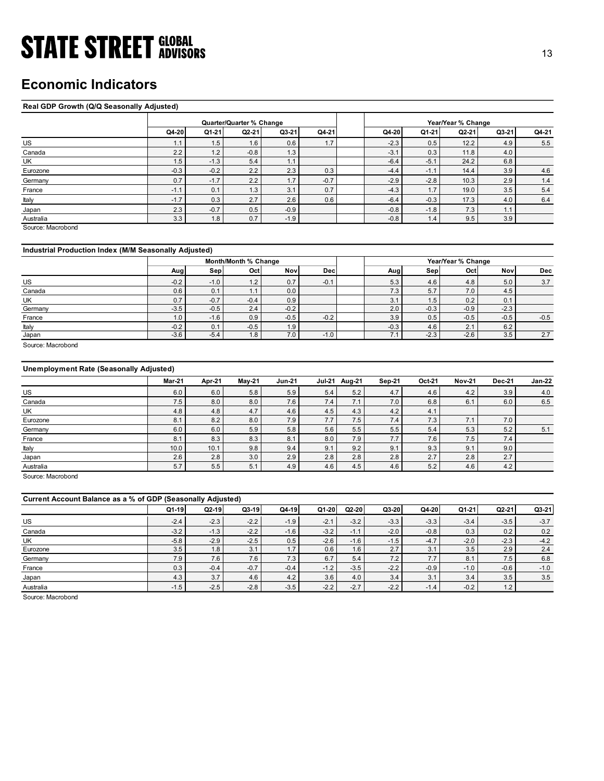### Economic Indicators

### Real GDP Growth (Q/Q Seasonally Adjusted)

| <b>STATE STREET GLOBAL</b>                            |                  |               |                          |               |               |                |               |                    |                | 13            |
|-------------------------------------------------------|------------------|---------------|--------------------------|---------------|---------------|----------------|---------------|--------------------|----------------|---------------|
|                                                       |                  |               |                          |               |               |                |               |                    |                |               |
|                                                       |                  |               |                          |               |               |                |               |                    |                |               |
| <b>Economic Indicators</b>                            |                  |               |                          |               |               |                |               |                    |                |               |
|                                                       |                  |               |                          |               |               |                |               |                    |                |               |
|                                                       |                  |               |                          |               |               |                |               |                    |                |               |
| Real GDP Growth (Q/Q Seasonally Adjusted)             |                  |               |                          |               |               |                |               |                    |                |               |
|                                                       |                  |               | Quarter/Quarter % Change |               |               |                |               | Year/Year % Change |                |               |
|                                                       | Q4-20            | Q1-21         | $Q2-21$                  | $Q3-21$       | Q4-21         | Q4-20          | Q1-21         | Q2-21              | Q3-21          | Q4-21         |
| US                                                    | 1.1              | 1.5           | 1.6                      | 0.6           | 1.7           | $-2.3$         | 0.5           | 12.2               | 4.9            | 5.5           |
| Canada                                                | 2.2              | 1.2           | $-0.8$                   | 1.3           |               | $-3.1$         | 0.3           | 11.8               | 4.0            |               |
| UK                                                    | 1.5              | $-1.3$        | 5.4                      | 1.1           |               | $-6.4$         | $-5.1$        | 24.2               | 6.8            |               |
| Eurozone                                              | $-0.3$           | $-0.2$        | 2.2                      | 2.3           | 0.3           | $-4.4$         | $-1.1$        | 14.4               | 3.9            | 4.6           |
| Germany                                               | 0.7              | $-1.7$        | 2.2                      | 1.7           | $-0.7$        | $-2.9$         | $-2.8$        | 10.3               | 2.9            | 1.4           |
| France                                                | $-1.1$           | 0.1           | 1.3                      | 3.1           | 0.7           | $-4.3$         | 1.7           | 19.0               | 3.5            | $5.4$         |
| Italy                                                 | $-1.7$           | 0.3           | 2.7                      | 2.6           | 0.6           | $-6.4$         | $-0.3$        | 17.3               | 4.0            | 6.4           |
| Japan                                                 | 2.3              | $-0.7$        | 0.5                      | $-0.9$        |               | $-0.8$         | $-1.8$        | 7.3                | 1.1            |               |
| Australia                                             | 3.3              | 1.8           | 0.7                      | $-1.9$        |               | $-0.8$         | 1.4           | 9.5                | 3.9            |               |
| Source: Macrobond                                     |                  |               |                          |               |               |                |               |                    |                |               |
|                                                       |                  |               |                          |               |               |                |               |                    |                |               |
| Industrial Production Index (M/M Seasonally Adjusted) |                  |               |                          |               |               |                |               |                    |                |               |
|                                                       |                  |               | Month/Month % Change     |               |               |                |               | Year/Year % Change |                |               |
|                                                       | Aug              | Sep           | Oct                      | Nov           | Dec           | Aug            | Sep           | Oct                | Nov            | Dec           |
| US                                                    | $-0.2$           | $-1.0$        | $1.2$                    | 0.7           | $-0.1$        | 5.3            | 4.6           | 4.8                | 5.0            | 3.7           |
| Canada                                                | 0.6              | 0.1           | 1.1                      | 0.0           |               | 7.3            | 5.7           | 7.0                | 4.5            |               |
| UK                                                    | 0.7              | $-0.7$        | $-0.4$                   | 0.9           |               | 3.1            | 1.5           | 0.2                | 0.1            |               |
| Germany                                               | $-3.5$           | $-0.5$        | 2.4                      | $-0.2$        |               | 2.0            | $-0.3$        | $-0.9$             | $-2.3$         |               |
| France                                                | $1.0\,$          | $-1.6$        | 0.9                      | $-0.5$        | $-0.2$        | 3.9            | $0.5\,$       | $-0.5$             | $-0.5$         | $-0.5$        |
| <b>taly</b>                                           | $-0.2$<br>$-3.6$ | 0.1<br>$-5.4$ | $-0.5$<br>1.8            | 1.9<br>7.0    | $-1.0$        | $-0.3$<br>7.1  | 4.6<br>$-2.3$ | 2.1<br>$-2.6$      | $6.2\,$<br>3.5 | 2.7           |
| Japan<br>Source: Macrobond                            |                  |               |                          |               |               |                |               |                    |                |               |
|                                                       |                  |               |                          |               |               |                |               |                    |                |               |
|                                                       |                  |               |                          |               |               |                |               |                    |                |               |
| <b>Unemployment Rate (Seasonally Adjusted)</b>        |                  |               |                          |               |               |                |               |                    |                |               |
|                                                       | <b>Mar-21</b>    | Apr-21        | May-21                   | <b>Jun-21</b> | Jul-21 Aug-21 | Sep-21         | Oct-21        | <b>Nov-21</b>      | <b>Dec-21</b>  | <b>Jan-22</b> |
| US                                                    | 6.0              | 6.0           | $5.8$                    | 5.9           | $5.4$         | 4.7<br>$5.2$   | 4.6           | 4.2                | 3.9            | $4.0$         |
| Canada                                                | $7.5\,$          | 8.0           | 8.0                      | 7.6           | $7.4$         | 7.1<br>$7.0$   | $6.8\,$       | 6.1                | 6.0            | 6.5           |
| UK                                                    | 4.8              | 4.8           | 4.7                      | 4.6           | 4.5           | 4.2<br>4.3     | 4.1           |                    |                |               |
| Eurozone                                              | 8.1              | 8.2           | 8.0                      | 7.9           | 7.7           | 7.4<br>7.5     | 7.3           | 7.1                | 7.0            |               |
|                                                       | 6.0              | 6.0           | $5.9\,$                  | 5.8           | $5.6\,$       | $5.5$<br>5.5   | $5.4\,$       | 5.3                | $5.2$          | 5.1           |
| Germany                                               |                  |               |                          |               |               |                |               |                    |                |               |
| France                                                | 8.1              | $8.3\,$       | 8.3                      | 8.1           | 8.0           | $7.7\,$<br>7.9 | 7.6           | 7.5                | 7.4            |               |
| Italy                                                 | 10.0             | 10.1          | 9.8                      | 9.4           | 9.1           | 9.1<br>9.2     | 9.3           | 9.1                | 9.0            |               |

### Industrial Production Index (M/M Seasonally Adjusted)

|         |        |        | Month/Month % Change |                  |            |        | Year/Year % Change |        |        |            |
|---------|--------|--------|----------------------|------------------|------------|--------|--------------------|--------|--------|------------|
|         | Aug    | Sep    | Oct                  | Nov              | <b>Dec</b> | Aug    | Sep.               | Octl   | Nov    | <b>Dec</b> |
| US      | $-0.2$ | $-1.0$ | 1.2                  | 0.7              | $-0.1$     | 5.3    | 4.6                | 4.8    | 5.0    | 3.7        |
| Canada  | 0.6    | 0.1    | ь.                   | 0.0              |            | 7.3    | 5.7                | 7.0    | 4.5    |            |
| UK      | 0.7    | $-0.7$ | $-0.4$               | 0.9              |            | 3.1    | 1.5                | 0.2    | 0.1    |            |
| Germany | $-3.5$ | $-0.5$ | 2.4 <sub>1</sub>     | $-0.2$           |            | 2.0    | $-0.3$             | $-0.9$ | $-2.3$ |            |
| France  | 1.0    | $-1.6$ | 0.9                  | $-0.5$           | $-0.2$     | 3.9    | 0.5                | $-0.5$ | $-0.5$ | $-0.5$     |
| Italy   | $-0.2$ | 0.1    | $-0.5$               | 1.9 <sub>1</sub> |            | $-0.3$ | 4.6                | 2.1    | 6.2    |            |
| Japan   | $-3.6$ | $-5.4$ | 1.8                  | 7.0              | $-1.0$     | 7.1    | $-2.3$             | $-2.6$ | 3.5    | 2.7        |

### Unemployment Rate (Seasonally Adjusted)

| Canada<br>UK<br>Eurozone<br>Germany<br>France<br>Italy<br>Japan<br>Australia<br>Source: Macrobond<br>Industrial Production Index (M/M Seasonally Adjusted)<br>US<br>Canada<br>UK<br>Germany<br>France<br>Italy<br>Japan<br>Source: Macrobond<br><b>Unemployment Rate (Seasonally Adjusted)</b> | 2.2<br>1.5<br>$-0.3$<br>0.7<br>$-1.1$<br>$-1.7$<br>2.3<br>3.3<br>Aug<br>$-0.2$<br>0.6<br>0.7<br>$-3.5$<br>1.0<br>$-0.2$<br>$-3.6$ | 1.2<br>$-1.3$<br>$-0.2$<br>$-1.7$<br>0.1<br>0.3<br>$-0.7$<br>1.8<br>Sep<br>$-1.0$<br>0.1<br>$-0.7$<br>$-0.5$<br>$-1.6$<br>0.1 | $-0.8$<br>5.4<br>$2.2\,$<br>2.2<br>1.3<br>$2.7\,$<br>0.5<br>0.7<br>Month/Month % Change<br>Oct<br>$1.2$<br>1.1<br>$-0.4$<br>2.4<br>0.9 | 1.3<br>1.1<br>2.3<br>1.7<br>3.1<br>2.6<br>$-0.9$<br>$-1.9$<br>Nov<br>0.7<br>0.0<br>0.9 | 0.3<br>$-0.7$<br>0.7<br>0.6<br>Dec<br>$-0.1$ | $-3.1$<br>$-6.4$<br>$-4.4$<br>$-2.9$<br>$-4.3$<br>$-6.4$<br>$-0.8$<br>$-0.8$<br>Aug<br>5.3<br>7.3 | 0.3<br>$-5.1$<br>$-1.1$<br>$-2.8$<br>1.7<br>$-0.3$<br>$-1.8$<br>1.4<br>Sep<br>4.6 | 11.8<br>24.2<br>14.4<br>10.3<br>19.0<br>17.3<br>7.3<br>9.5<br>Year/Year % Change<br>Oct | 4.0<br>6.8<br>3.9<br>2.9<br>3.5<br>4.0<br>1.1<br>3.9<br>Nov | 5.5<br>$4.6\,$<br>$1.4$<br>5.4<br>6.4<br>Dec |
|------------------------------------------------------------------------------------------------------------------------------------------------------------------------------------------------------------------------------------------------------------------------------------------------|-----------------------------------------------------------------------------------------------------------------------------------|-------------------------------------------------------------------------------------------------------------------------------|----------------------------------------------------------------------------------------------------------------------------------------|----------------------------------------------------------------------------------------|----------------------------------------------|---------------------------------------------------------------------------------------------------|-----------------------------------------------------------------------------------|-----------------------------------------------------------------------------------------|-------------------------------------------------------------|----------------------------------------------|
|                                                                                                                                                                                                                                                                                                |                                                                                                                                   |                                                                                                                               |                                                                                                                                        |                                                                                        |                                              |                                                                                                   |                                                                                   |                                                                                         |                                                             |                                              |
|                                                                                                                                                                                                                                                                                                |                                                                                                                                   |                                                                                                                               |                                                                                                                                        |                                                                                        |                                              |                                                                                                   |                                                                                   |                                                                                         |                                                             |                                              |
|                                                                                                                                                                                                                                                                                                |                                                                                                                                   |                                                                                                                               |                                                                                                                                        |                                                                                        |                                              |                                                                                                   |                                                                                   |                                                                                         |                                                             |                                              |
|                                                                                                                                                                                                                                                                                                |                                                                                                                                   |                                                                                                                               |                                                                                                                                        |                                                                                        |                                              |                                                                                                   |                                                                                   |                                                                                         |                                                             |                                              |
|                                                                                                                                                                                                                                                                                                |                                                                                                                                   |                                                                                                                               |                                                                                                                                        |                                                                                        |                                              |                                                                                                   |                                                                                   |                                                                                         |                                                             |                                              |
|                                                                                                                                                                                                                                                                                                |                                                                                                                                   |                                                                                                                               |                                                                                                                                        |                                                                                        |                                              |                                                                                                   |                                                                                   |                                                                                         |                                                             |                                              |
|                                                                                                                                                                                                                                                                                                |                                                                                                                                   |                                                                                                                               |                                                                                                                                        |                                                                                        |                                              |                                                                                                   |                                                                                   |                                                                                         |                                                             |                                              |
|                                                                                                                                                                                                                                                                                                |                                                                                                                                   |                                                                                                                               |                                                                                                                                        |                                                                                        |                                              |                                                                                                   |                                                                                   |                                                                                         |                                                             |                                              |
|                                                                                                                                                                                                                                                                                                |                                                                                                                                   |                                                                                                                               |                                                                                                                                        |                                                                                        |                                              |                                                                                                   |                                                                                   |                                                                                         |                                                             |                                              |
|                                                                                                                                                                                                                                                                                                |                                                                                                                                   |                                                                                                                               |                                                                                                                                        |                                                                                        |                                              |                                                                                                   |                                                                                   |                                                                                         |                                                             |                                              |
|                                                                                                                                                                                                                                                                                                |                                                                                                                                   |                                                                                                                               |                                                                                                                                        |                                                                                        |                                              |                                                                                                   |                                                                                   |                                                                                         |                                                             |                                              |
|                                                                                                                                                                                                                                                                                                |                                                                                                                                   |                                                                                                                               |                                                                                                                                        |                                                                                        |                                              |                                                                                                   |                                                                                   |                                                                                         |                                                             |                                              |
|                                                                                                                                                                                                                                                                                                |                                                                                                                                   |                                                                                                                               |                                                                                                                                        |                                                                                        |                                              |                                                                                                   |                                                                                   | 4.8                                                                                     | 5.0                                                         | 3.7                                          |
|                                                                                                                                                                                                                                                                                                |                                                                                                                                   |                                                                                                                               |                                                                                                                                        |                                                                                        |                                              |                                                                                                   | 5.7                                                                               | 7.0                                                                                     | 4.5                                                         |                                              |
|                                                                                                                                                                                                                                                                                                |                                                                                                                                   |                                                                                                                               |                                                                                                                                        |                                                                                        |                                              | 3.1                                                                                               | 1.5                                                                               | 0.2                                                                                     | 0.1                                                         |                                              |
|                                                                                                                                                                                                                                                                                                |                                                                                                                                   |                                                                                                                               |                                                                                                                                        | $-0.2$                                                                                 |                                              | 2.0                                                                                               | $-0.3$                                                                            | $-0.9$                                                                                  | $-2.3$                                                      |                                              |
|                                                                                                                                                                                                                                                                                                |                                                                                                                                   |                                                                                                                               |                                                                                                                                        | $-0.5$                                                                                 | $-0.2$                                       | 3.9                                                                                               | 0.5                                                                               | $-0.5$                                                                                  | $-0.5$                                                      | $-0.5$                                       |
|                                                                                                                                                                                                                                                                                                |                                                                                                                                   |                                                                                                                               | $-0.5$                                                                                                                                 | 1.9                                                                                    |                                              | $-0.3$                                                                                            | 4.6                                                                               | 2.1                                                                                     | 6.2                                                         |                                              |
|                                                                                                                                                                                                                                                                                                |                                                                                                                                   | $-5.4$                                                                                                                        | 1.8                                                                                                                                    | 7.0                                                                                    | $-1.0$                                       | 7.1                                                                                               | $-2.3$                                                                            | $-2.6$                                                                                  | 3.5                                                         | 2.7                                          |
|                                                                                                                                                                                                                                                                                                |                                                                                                                                   |                                                                                                                               |                                                                                                                                        |                                                                                        |                                              |                                                                                                   |                                                                                   |                                                                                         |                                                             |                                              |
|                                                                                                                                                                                                                                                                                                |                                                                                                                                   |                                                                                                                               |                                                                                                                                        |                                                                                        |                                              |                                                                                                   |                                                                                   |                                                                                         |                                                             |                                              |
|                                                                                                                                                                                                                                                                                                | <b>Mar-21</b>                                                                                                                     | Apr-21                                                                                                                        | <b>May-21</b>                                                                                                                          | <b>Jun-21</b>                                                                          | Jul-21 Aug-21                                | Sep-21                                                                                            | Oct-21                                                                            | <b>Nov-21</b>                                                                           | <b>Dec-21</b>                                               | Jan-22                                       |
| US                                                                                                                                                                                                                                                                                             | $6.0\,$                                                                                                                           | 6.0                                                                                                                           | 5.8                                                                                                                                    | 5.9                                                                                    | 5.4                                          | $5.2\,$<br>4.7                                                                                    | 4.6                                                                               | 4.2                                                                                     | 3.9                                                         | 4.0                                          |
| Canada                                                                                                                                                                                                                                                                                         | 7.5                                                                                                                               | 8.0                                                                                                                           | 8.0                                                                                                                                    | 7.6                                                                                    | 7.4                                          | 7.1<br>7.0                                                                                        | 6.8                                                                               | 6.1                                                                                     | 6.0                                                         | 6.5                                          |
| UK                                                                                                                                                                                                                                                                                             | 4.8                                                                                                                               | 4.8                                                                                                                           | 4.7                                                                                                                                    | 4.6                                                                                    | 4.5                                          | 4.3<br>4.2                                                                                        | 4.1                                                                               |                                                                                         |                                                             |                                              |
| Eurozone                                                                                                                                                                                                                                                                                       | 8.1                                                                                                                               | 8.2                                                                                                                           | $8.0\,$                                                                                                                                | 7.9                                                                                    | 7.7                                          | 7.5<br>7.4                                                                                        | 7.3                                                                               | 7.1                                                                                     | 7.0                                                         |                                              |
| Germany                                                                                                                                                                                                                                                                                        | $6.0\,$                                                                                                                           | 6.0                                                                                                                           | 5.9                                                                                                                                    | 5.8                                                                                    | 5.6                                          | 5.5<br>5.5                                                                                        | 5.4                                                                               | 5.3                                                                                     | $5.2$                                                       | 5.1                                          |
| France                                                                                                                                                                                                                                                                                         | 8.1                                                                                                                               | 8.3                                                                                                                           | 8.3                                                                                                                                    | 8.1                                                                                    | 8.0                                          | 7.9<br>7.7                                                                                        | 7.6                                                                               | 7.5                                                                                     | 7.4                                                         |                                              |
| Italy                                                                                                                                                                                                                                                                                          | 10.0                                                                                                                              | 10.1                                                                                                                          | 9.8                                                                                                                                    | 9.4                                                                                    | 9.1                                          | 9.2<br>9.1                                                                                        | 9.3                                                                               | 9.1                                                                                     | 9.0                                                         |                                              |
| Japan                                                                                                                                                                                                                                                                                          | 2.6                                                                                                                               | 2.8                                                                                                                           | 3.0                                                                                                                                    | 2.9                                                                                    | 2.8                                          | 2.8<br>2.8                                                                                        | 2.7                                                                               | 2.8                                                                                     | 2.7                                                         |                                              |
| Australia                                                                                                                                                                                                                                                                                      | 5.7                                                                                                                               | 5.5                                                                                                                           | 5.1                                                                                                                                    | 4.9                                                                                    | 4.6                                          | 4.5<br>4.6                                                                                        | 5.2                                                                               | 4.6                                                                                     | 4.2                                                         |                                              |
| Source: Macrobond                                                                                                                                                                                                                                                                              |                                                                                                                                   |                                                                                                                               |                                                                                                                                        |                                                                                        |                                              |                                                                                                   |                                                                                   |                                                                                         |                                                             |                                              |
| Current Account Balance as a % of GDP (Seasonally Adjusted)                                                                                                                                                                                                                                    |                                                                                                                                   |                                                                                                                               |                                                                                                                                        |                                                                                        |                                              |                                                                                                   |                                                                                   |                                                                                         |                                                             |                                              |
|                                                                                                                                                                                                                                                                                                | Q1-19                                                                                                                             | $Q2-19$                                                                                                                       | Q3-19                                                                                                                                  | Q4-19                                                                                  | Q1-20<br>$Q2-20$                             | Q3-20                                                                                             | Q4-20                                                                             | $Q1-21$                                                                                 | Q2-21                                                       | $Q3-21$                                      |
| <b>US</b>                                                                                                                                                                                                                                                                                      | $-2.4$                                                                                                                            | $-2.3$                                                                                                                        | $-2.2$                                                                                                                                 | $-1.9$                                                                                 | $-2.1$                                       | $-3.2$<br>$-3.3$                                                                                  | $-3.3$                                                                            | $-3.4$                                                                                  | $-3.5$                                                      | $-3.7$                                       |
| Canada                                                                                                                                                                                                                                                                                         | $-3.2$                                                                                                                            | $-1.3$                                                                                                                        | $-2.2$                                                                                                                                 | $-1.6$                                                                                 | $-3.2$                                       | $-1.1$<br>$-2.0$                                                                                  | $-0.8$                                                                            | 0.3                                                                                     | 0.2                                                         | $0.2\,$                                      |
| UK                                                                                                                                                                                                                                                                                             | $-5.8$                                                                                                                            | $-2.9$                                                                                                                        | $-2.5$                                                                                                                                 | 0.5                                                                                    | $-2.6$                                       | $-1.6$<br>$-1.5$                                                                                  | $-4.7$                                                                            | $-2.0$                                                                                  | $-2.3$                                                      | $-4.2$                                       |
| Eurozone                                                                                                                                                                                                                                                                                       | 3.5                                                                                                                               | 1.8                                                                                                                           | 3.1                                                                                                                                    | 1.7                                                                                    | 0.6                                          | 1.6<br>2.7                                                                                        | 3.1                                                                               | 3.5                                                                                     | 2.9                                                         | 2.4                                          |
| Germany                                                                                                                                                                                                                                                                                        | 7.9                                                                                                                               | 7.6                                                                                                                           | 7.6                                                                                                                                    | 7.3                                                                                    | 6.7                                          | 5.4<br>7.2                                                                                        | 7.7                                                                               | 8.1                                                                                     | 7.5                                                         | 6.8                                          |
| France                                                                                                                                                                                                                                                                                         | 0.3                                                                                                                               | $-0.4$                                                                                                                        | $-0.7$                                                                                                                                 | $-0.4$                                                                                 | $-1.2$                                       | $-3.5$<br>$-2.2$                                                                                  | $-0.9$                                                                            | $-1.0$                                                                                  | $-0.6$                                                      | $-1.0$                                       |
| Japan                                                                                                                                                                                                                                                                                          | $4.3\,$                                                                                                                           | 3.7                                                                                                                           | 4.6                                                                                                                                    | 4.2                                                                                    | 3.6                                          | 4.0<br>3.4                                                                                        | 3.1                                                                               | 3.4                                                                                     | 3.5                                                         | 3.5                                          |
| Australia                                                                                                                                                                                                                                                                                      | $-1.5$                                                                                                                            | $-2.5$                                                                                                                        | $-2.8$                                                                                                                                 | $-3.5$                                                                                 | $-2.2$                                       | $-2.2$<br>$-2.7$                                                                                  | $-1.4$                                                                            | $-0.2$                                                                                  | $1.2$                                                       |                                              |

| Current Account Balance as a % of GDP (Seasonally Adjusted) |                  |         |         |                  |        |         |        |        |         |           |         |
|-------------------------------------------------------------|------------------|---------|---------|------------------|--------|---------|--------|--------|---------|-----------|---------|
|                                                             | $Q1-19$          | $Q2-19$ | $Q3-19$ | Q4-19            | Q1-20  | $Q2-20$ | Q3-20  | Q4-20  | $Q1-21$ | $Q2 - 21$ | $Q3-21$ |
| US                                                          | $-2.4$           | $-2.3$  | $-2.2$  | $-1.9$           | $-2.1$ | $-3.2$  | $-3.3$ | $-3.3$ | $-3.4$  | $-3.5$    | $-3.7$  |
| Canada                                                      | $-3.2$           | $-1.3$  | $-2.2$  | $-1.6$           | $-3.2$ | $-1.1$  | $-2.0$ | $-0.8$ | 0.3     | 0.2       | 0.2     |
| UK                                                          | $-5.8$           | $-2.9$  | $-2.5$  | 0.5              | $-2.6$ | $-1.6$  | $-1.5$ | $-4.7$ | $-2.0$  | $-2.3$    | $-4.2$  |
| Eurozone                                                    | 3.5              | 1.8     | 3.1     | 1.7 <sub>1</sub> | 0.6    | 1.6     | 2.7    | 3.1    | 3.5     | 2.9       | 2.4     |
| Germany                                                     | 7.9 <sub>1</sub> | 7.6     | 7.6     | 7.3 <sub>1</sub> | 6.7    | 5.4     | 7.2    | 7.7    | 8.1     | 7.5       | 6.8     |
| France                                                      | 0.3              | $-0.4$  | $-0.7$  | $-0.4$           | $-1.2$ | $-3.5$  | $-2.2$ | $-0.9$ | $-1.0$  | $-0.6$    | $-1.0$  |
| Japan                                                       | 4.3              | 3.7     | 4.6     | 4.2              | 3.6    | 4.0     | 3.4    | 3.1    | 3.4     | 3.5       | 3.5     |
| Australia                                                   | $-1.5$           | $-2.5$  | $-2.8$  | $-3.5$           | $-2.2$ | $-2.7$  | $-2.2$ | $-1.4$ | $-0.2$  | 1.2       |         |